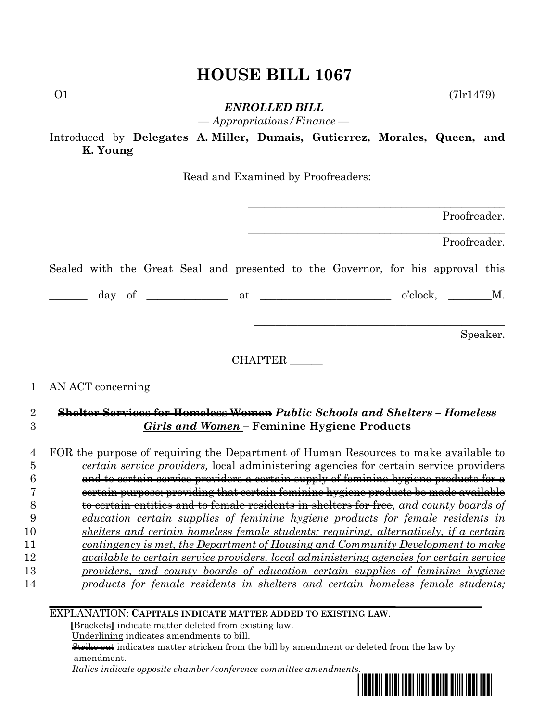## **HOUSE BILL 1067**

 $01$  (7lr1479)

*ENROLLED BILL*

*— Appropriations/Finance —*

Introduced by **Delegates A. Miller, Dumais, Gutierrez, Morales, Queen, and K. Young**

Read and Examined by Proofreaders:

| Proofreader.                                                                                                                                                                 |                   |                                  |
|------------------------------------------------------------------------------------------------------------------------------------------------------------------------------|-------------------|----------------------------------|
| Proofreader.                                                                                                                                                                 |                   |                                  |
| Sealed with the Great Seal and presented to the Governor, for his approval this                                                                                              |                   |                                  |
|                                                                                                                                                                              |                   |                                  |
| Speaker.                                                                                                                                                                     |                   |                                  |
| CHAPTER                                                                                                                                                                      |                   |                                  |
|                                                                                                                                                                              | AN ACT concerning | 1                                |
| Shelter Services for Homeless Women Public Schools and Shelters - Homeless                                                                                                   |                   | $\overline{2}$                   |
| <b>Girls and Women - Feminine Hygiene Products</b>                                                                                                                           |                   | 3                                |
| FOR the purpose of requiring the Department of Human Resources to make available to<br>certain service providers, local administering agencies for certain service providers |                   | $\overline{4}$<br>$\overline{5}$ |
| and to certain service providers a certain supply of feminine hygiene products for a                                                                                         |                   | 6                                |
| eertain purpose; providing that certain feminine hygiene products be made available                                                                                          |                   | 7                                |
| to certain entities and to female residents in shelters for free, and county boards of                                                                                       |                   | 8                                |
| education certain supplies of feminine hygiene products for female residents in                                                                                              |                   | 9                                |
| shelters and certain homeless female students; requiring, alternatively, if a certain                                                                                        |                   | 10                               |
| contingency is met, the Department of Housing and Community Development to make                                                                                              |                   | 11                               |
| <i>available to certain service providers, local administering agencies for certain service</i>                                                                              |                   | 12                               |
|                                                                                                                                                                              |                   |                                  |

13 *providers, and county boards of education certain supplies of feminine hygiene*  14 *products for female residents in shelters and certain homeless female students;* 

EXPLANATION: **CAPITALS INDICATE MATTER ADDED TO EXISTING LAW**.

 **[**Brackets**]** indicate matter deleted from existing law.

Underlining indicates amendments to bill.

 Strike out indicates matter stricken from the bill by amendment or deleted from the law by amendment.

 *Italics indicate opposite chamber/conference committee amendments.*

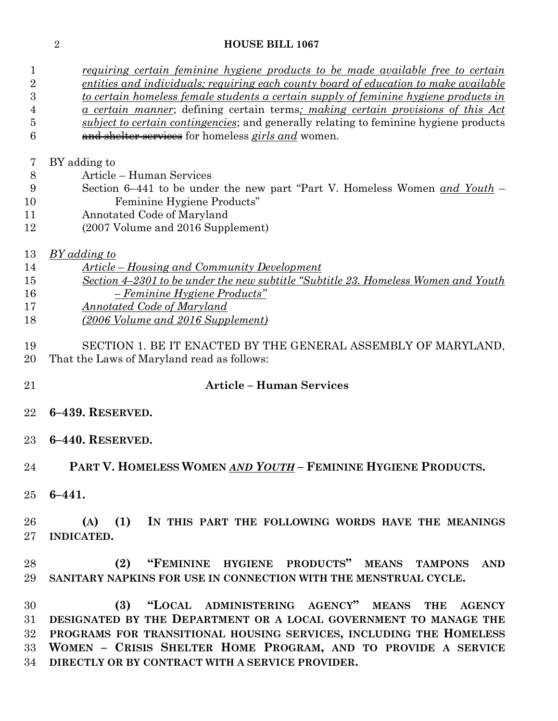## **HOUSE BILL 1067**

 *requiring certain feminine hygiene products to be made available free to certain entities and individuals; requiring each county board of education to make available* 

| $\boldsymbol{3}$<br>4 | <u>to certain homeless female students a certain supply of feminine hygiene products in</u><br><u>a certain manner</u> ; defining certain terms; making certain provisions of this Act |
|-----------------------|----------------------------------------------------------------------------------------------------------------------------------------------------------------------------------------|
| 5                     | subject to certain contingencies; and generally relating to feminine hygiene products                                                                                                  |
| 6                     | and shelter services for homeless girls and women.                                                                                                                                     |
| 7                     | BY adding to                                                                                                                                                                           |
| 8                     | Article - Human Services                                                                                                                                                               |
| 9                     | Section 6–441 to be under the new part "Part V. Homeless Women and Youth –                                                                                                             |
| 10                    | Feminine Hygiene Products"                                                                                                                                                             |
| 11                    | Annotated Code of Maryland                                                                                                                                                             |
| 12                    | (2007 Volume and 2016 Supplement)                                                                                                                                                      |
| 13                    | <b>BY</b> adding to                                                                                                                                                                    |
| 14                    | <u><b>Article</b></u> – Housing and Community Development                                                                                                                              |
| 15                    | Section 4-2301 to be under the new subtitle "Subtitle 23. Homeless Women and Youth                                                                                                     |
| 16                    | $-$ Feminine Hygiene Products"                                                                                                                                                         |
| 17                    | <b>Annotated Code of Maryland</b>                                                                                                                                                      |
| 18                    | (2006 Volume and 2016 Supplement)                                                                                                                                                      |
|                       |                                                                                                                                                                                        |
| 19                    | SECTION 1. BE IT ENACTED BY THE GENERAL ASSEMBLY OF MARYLAND,                                                                                                                          |
| 20                    | That the Laws of Maryland read as follows:                                                                                                                                             |
| 21                    | <b>Article - Human Services</b>                                                                                                                                                        |
|                       |                                                                                                                                                                                        |
| 22                    | 6-439. RESERVED.                                                                                                                                                                       |
| 23                    | 6-440. RESERVED.                                                                                                                                                                       |
| 24                    | PART V. HOMELESS WOMEN AND YOUTH - FEMININE HYGIENE PRODUCTS.                                                                                                                          |
|                       |                                                                                                                                                                                        |
| $25\,$                | $6 - 441.$                                                                                                                                                                             |
| 26                    | (1)<br>(A)<br>IN THIS PART THE FOLLOWING WORDS HAVE THE MEANINGS                                                                                                                       |
| $27\,$                | <b>INDICATED.</b>                                                                                                                                                                      |
|                       |                                                                                                                                                                                        |
| 28                    | "FEMININE HYGIENE PRODUCTS" MEANS<br>(2)<br><b>TAMPONS</b><br><b>AND</b>                                                                                                               |
| 29                    | SANITARY NAPKINS FOR USE IN CONNECTION WITH THE MENSTRUAL CYCLE.                                                                                                                       |
|                       |                                                                                                                                                                                        |
| 30                    | "LOCAL ADMINISTERING AGENCY" MEANS<br>(3)<br>THE<br><b>AGENCY</b>                                                                                                                      |
| 31                    | DESIGNATED BY THE DEPARTMENT OR A LOCAL GOVERNMENT TO MANAGE THE                                                                                                                       |
| $32\,$                | PROGRAMS FOR TRANSITIONAL HOUSING SERVICES, INCLUDING THE HOMELESS                                                                                                                     |
| $33\,$                |                                                                                                                                                                                        |
|                       |                                                                                                                                                                                        |
| 34                    | WOMEN - CRISIS SHELTER HOME PROGRAM, AND TO PROVIDE A SERVICE<br>DIRECTLY OR BY CONTRACT WITH A SERVICE PROVIDER.                                                                      |

*BY adding to*

**6–441.**

**INDICATED.**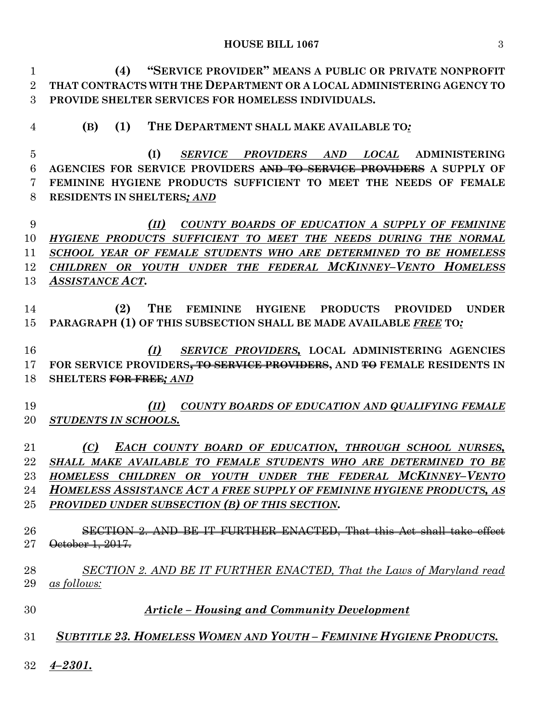## **HOUSE BILL 1067** 3

 **(4) "SERVICE PROVIDER" MEANS A PUBLIC OR PRIVATE NONPROFIT THAT CONTRACTS WITH THE DEPARTMENT OR A LOCAL ADMINISTERING AGENCY TO PROVIDE SHELTER SERVICES FOR HOMELESS INDIVIDUALS. (B) (1) THE DEPARTMENT SHALL MAKE AVAILABLE TO***:* **(I)** *SERVICE PROVIDERS AND LOCAL* **ADMINISTERING AGENCIES FOR SERVICE PROVIDERS AND TO SERVICE PROVIDERS A SUPPLY OF FEMININE HYGIENE PRODUCTS SUFFICIENT TO MEET THE NEEDS OF FEMALE RESIDENTS IN SHELTERS***; AND (II) COUNTY BOARDS OF EDUCATION A SUPPLY OF FEMININE HYGIENE PRODUCTS SUFFICIENT TO MEET THE NEEDS DURING THE NORMAL SCHOOL YEAR OF FEMALE STUDENTS WHO ARE DETERMINED TO BE HOMELESS CHILDREN OR YOUTH UNDER THE FEDERAL MCKINNEY–VENTO HOMELESS ASSISTANCE ACT*. **(2) THE FEMININE HYGIENE PRODUCTS PROVIDED UNDER PARAGRAPH (1) OF THIS SUBSECTION SHALL BE MADE AVAILABLE** *FREE* **TO***: (I) SERVICE PROVIDERS,* **LOCAL ADMINISTERING AGENCIES FOR SERVICE PROVIDERS, TO SERVICE PROVIDERS, AND TO FEMALE RESIDENTS IN SHELTERS FOR FREE***; AND (II) COUNTY BOARDS OF EDUCATION AND QUALIFYING FEMALE STUDENTS IN SCHOOLS. (C) EACH COUNTY BOARD OF EDUCATION, THROUGH SCHOOL NURSES, SHALL MAKE AVAILABLE TO FEMALE STUDENTS WHO ARE DETERMINED TO BE HOMELESS CHILDREN OR YOUTH UNDER THE FEDERAL MCKINNEY–VENTO HOMELESS ASSISTANCE ACT A FREE SUPPLY OF FEMININE HYGIENE PRODUCTS, AS PROVIDED UNDER SUBSECTION (B) OF THIS SECTION.* SECTION 2. AND BE IT FURTHER ENACTED, That this Act shall take effect 27 <del>October 1, 2017.</del> *SECTION 2. AND BE IT FURTHER ENACTED, That the Laws of Maryland read as follows: Article – Housing and Community Development SUBTITLE 23. HOMELESS WOMEN AND YOUTH – FEMININE HYGIENE PRODUCTS. 4–2301.*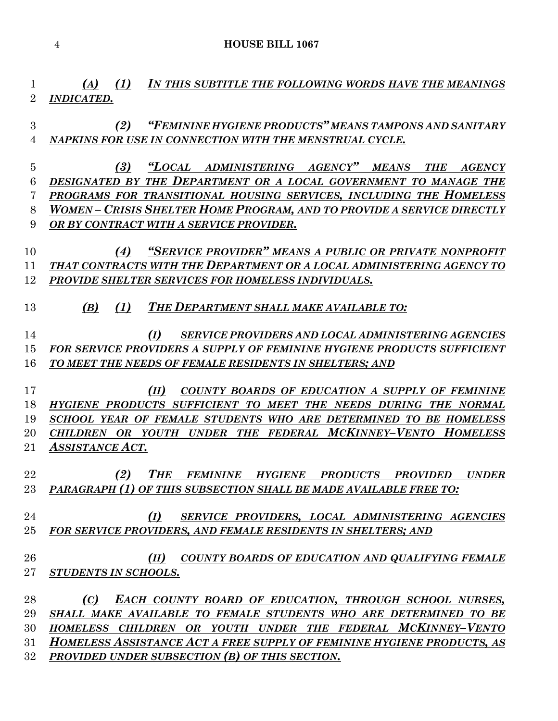*(A) (1) IN THIS SUBTITLE THE FOLLOWING WORDS HAVE THE MEANINGS INDICATED.*

 *(2) "FEMININE HYGIENE PRODUCTS" MEANS TAMPONS AND SANITARY NAPKINS FOR USE IN CONNECTION WITH THE MENSTRUAL CYCLE.*

 *(3) "LOCAL ADMINISTERING AGENCY" MEANS THE AGENCY DESIGNATED BY THE DEPARTMENT OR A LOCAL GOVERNMENT TO MANAGE THE PROGRAMS FOR TRANSITIONAL HOUSING SERVICES, INCLUDING THE HOMELESS WOMEN – CRISIS SHELTER HOME PROGRAM, AND TO PROVIDE A SERVICE DIRECTLY OR BY CONTRACT WITH A SERVICE PROVIDER.*

 *(4) "SERVICE PROVIDER" MEANS A PUBLIC OR PRIVATE NONPROFIT THAT CONTRACTS WITH THE DEPARTMENT OR A LOCAL ADMINISTERING AGENCY TO PROVIDE SHELTER SERVICES FOR HOMELESS INDIVIDUALS.*

*(B) (1) THE DEPARTMENT SHALL MAKE AVAILABLE TO:*

 *(I) SERVICE PROVIDERS AND LOCAL ADMINISTERING AGENCIES FOR SERVICE PROVIDERS A SUPPLY OF FEMININE HYGIENE PRODUCTS SUFFICIENT TO MEET THE NEEDS OF FEMALE RESIDENTS IN SHELTERS; AND*

 *(II) COUNTY BOARDS OF EDUCATION A SUPPLY OF FEMININE HYGIENE PRODUCTS SUFFICIENT TO MEET THE NEEDS DURING THE NORMAL SCHOOL YEAR OF FEMALE STUDENTS WHO ARE DETERMINED TO BE HOMELESS CHILDREN OR YOUTH UNDER THE FEDERAL MCKINNEY–VENTO HOMELESS ASSISTANCE ACT*.

 *(2) THE FEMININE HYGIENE PRODUCTS PROVIDED UNDER PARAGRAPH (1) OF THIS SUBSECTION SHALL BE MADE AVAILABLE FREE TO:*

 *(I) SERVICE PROVIDERS, LOCAL ADMINISTERING AGENCIES FOR SERVICE PROVIDERS, AND FEMALE RESIDENTS IN SHELTERS; AND*

 *(II) COUNTY BOARDS OF EDUCATION AND QUALIFYING FEMALE STUDENTS IN SCHOOLS.*

 *(C) EACH COUNTY BOARD OF EDUCATION, THROUGH SCHOOL NURSES, SHALL MAKE AVAILABLE TO FEMALE STUDENTS WHO ARE DETERMINED TO BE HOMELESS CHILDREN OR YOUTH UNDER THE FEDERAL MCKINNEY–VENTO HOMELESS ASSISTANCE ACT A FREE SUPPLY OF FEMININE HYGIENE PRODUCTS, AS PROVIDED UNDER SUBSECTION (B) OF THIS SECTION.*